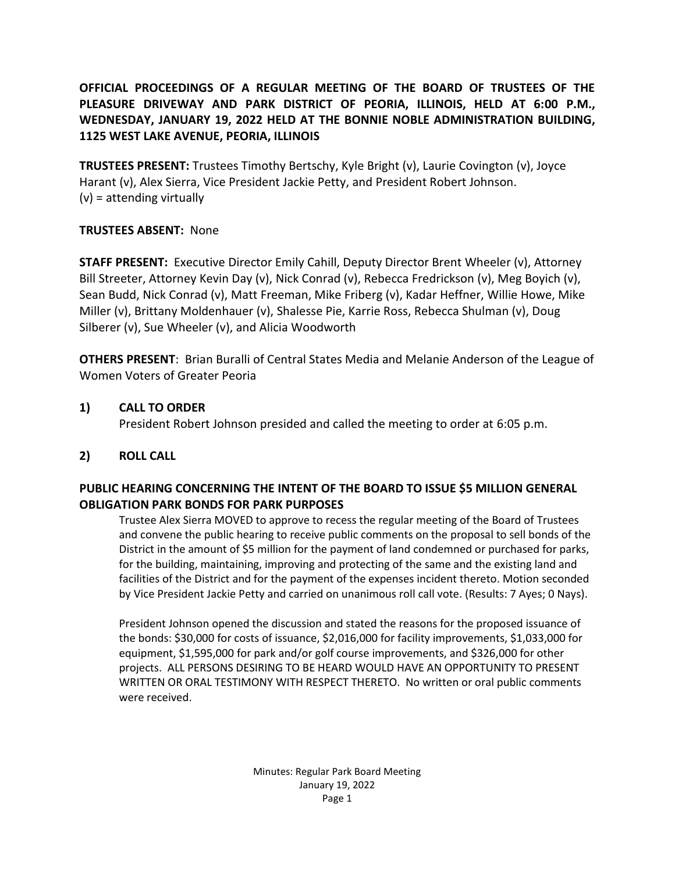# **OFFICIAL PROCEEDINGS OF A REGULAR MEETING OF THE BOARD OF TRUSTEES OF THE PLEASURE DRIVEWAY AND PARK DISTRICT OF PEORIA, ILLINOIS, HELD AT 6:00 P.M., WEDNESDAY, JANUARY 19, 2022 HELD AT THE BONNIE NOBLE ADMINISTRATION BUILDING, 1125 WEST LAKE AVENUE, PEORIA, ILLINOIS**

**TRUSTEES PRESENT:** Trustees Timothy Bertschy, Kyle Bright (v), Laurie Covington (v), Joyce Harant (v), Alex Sierra, Vice President Jackie Petty, and President Robert Johnson.  $(v)$  = attending virtually

### **TRUSTEES ABSENT:** None

**STAFF PRESENT:** Executive Director Emily Cahill, Deputy Director Brent Wheeler (v), Attorney Bill Streeter, Attorney Kevin Day (v), Nick Conrad (v), Rebecca Fredrickson (v), Meg Boyich (v), Sean Budd, Nick Conrad (v), Matt Freeman, Mike Friberg (v), Kadar Heffner, Willie Howe, Mike Miller (v), Brittany Moldenhauer (v), Shalesse Pie, Karrie Ross, Rebecca Shulman (v), Doug Silberer (v), Sue Wheeler (v), and Alicia Woodworth

**OTHERS PRESENT**: Brian Buralli of Central States Media and Melanie Anderson of the League of Women Voters of Greater Peoria

## **1) CALL TO ORDER**

President Robert Johnson presided and called the meeting to order at 6:05 p.m.

## **2) ROLL CALL**

### **PUBLIC HEARING CONCERNING THE INTENT OF THE BOARD TO ISSUE \$5 MILLION GENERAL OBLIGATION PARK BONDS FOR PARK PURPOSES**

Trustee Alex Sierra MOVED to approve to recess the regular meeting of the Board of Trustees and convene the public hearing to receive public comments on the proposal to sell bonds of the District in the amount of \$5 million for the payment of land condemned or purchased for parks, for the building, maintaining, improving and protecting of the same and the existing land and facilities of the District and for the payment of the expenses incident thereto. Motion seconded by Vice President Jackie Petty and carried on unanimous roll call vote. (Results: 7 Ayes; 0 Nays).

President Johnson opened the discussion and stated the reasons for the proposed issuance of the bonds: \$30,000 for costs of issuance, \$2,016,000 for facility improvements, \$1,033,000 for equipment, \$1,595,000 for park and/or golf course improvements, and \$326,000 for other projects. ALL PERSONS DESIRING TO BE HEARD WOULD HAVE AN OPPORTUNITY TO PRESENT WRITTEN OR ORAL TESTIMONY WITH RESPECT THERETO. No written or oral public comments were received.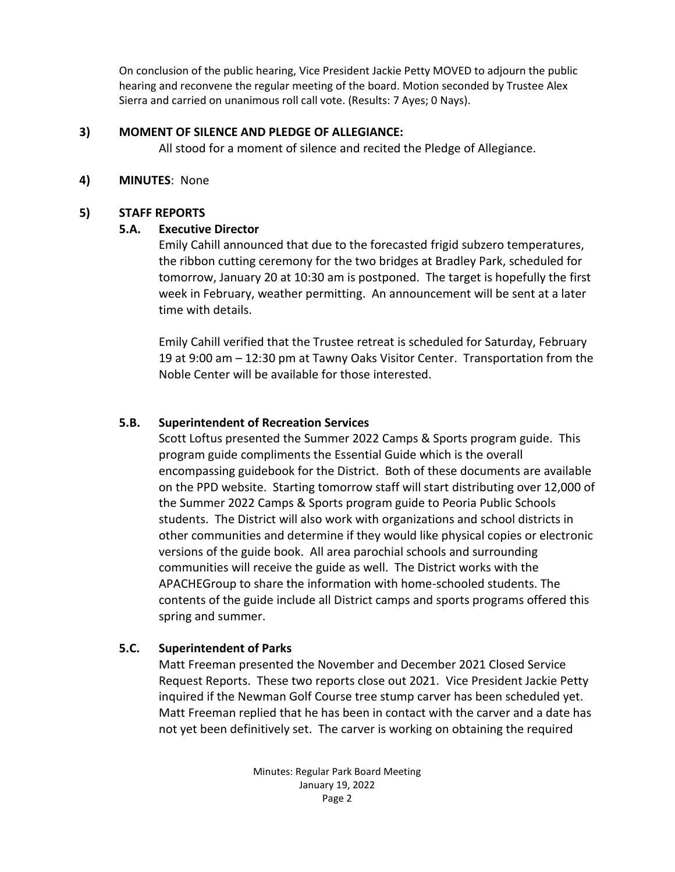On conclusion of the public hearing, Vice President Jackie Petty MOVED to adjourn the public hearing and reconvene the regular meeting of the board. Motion seconded by Trustee Alex Sierra and carried on unanimous roll call vote. (Results: 7 Ayes; 0 Nays).

## **3) MOMENT OF SILENCE AND PLEDGE OF ALLEGIANCE:**

All stood for a moment of silence and recited the Pledge of Allegiance.

# **4) MINUTES**: None

# **5) STAFF REPORTS**

# **5.A. Executive Director**

Emily Cahill announced that due to the forecasted frigid subzero temperatures, the ribbon cutting ceremony for the two bridges at Bradley Park, scheduled for tomorrow, January 20 at 10:30 am is postponed. The target is hopefully the first week in February, weather permitting. An announcement will be sent at a later time with details.

Emily Cahill verified that the Trustee retreat is scheduled for Saturday, February 19 at 9:00 am – 12:30 pm at Tawny Oaks Visitor Center. Transportation from the Noble Center will be available for those interested.

# **5.B. Superintendent of Recreation Services**

Scott Loftus presented the Summer 2022 Camps & Sports program guide. This program guide compliments the Essential Guide which is the overall encompassing guidebook for the District. Both of these documents are available on the PPD website. Starting tomorrow staff will start distributing over 12,000 of the Summer 2022 Camps & Sports program guide to Peoria Public Schools students. The District will also work with organizations and school districts in other communities and determine if they would like physical copies or electronic versions of the guide book. All area parochial schools and surrounding communities will receive the guide as well. The District works with the APACHEGroup to share the information with home-schooled students. The contents of the guide include all District camps and sports programs offered this spring and summer.

# **5.C. Superintendent of Parks**

Matt Freeman presented the November and December 2021 Closed Service Request Reports. These two reports close out 2021. Vice President Jackie Petty inquired if the Newman Golf Course tree stump carver has been scheduled yet. Matt Freeman replied that he has been in contact with the carver and a date has not yet been definitively set. The carver is working on obtaining the required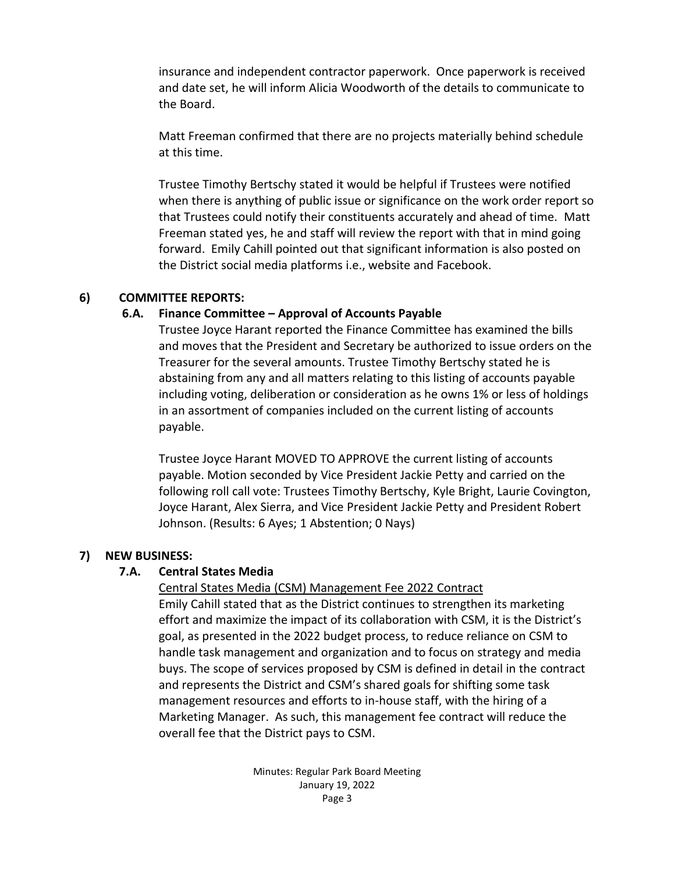insurance and independent contractor paperwork. Once paperwork is received and date set, he will inform Alicia Woodworth of the details to communicate to the Board.

Matt Freeman confirmed that there are no projects materially behind schedule at this time.

Trustee Timothy Bertschy stated it would be helpful if Trustees were notified when there is anything of public issue or significance on the work order report so that Trustees could notify their constituents accurately and ahead of time. Matt Freeman stated yes, he and staff will review the report with that in mind going forward. Emily Cahill pointed out that significant information is also posted on the District social media platforms i.e., website and Facebook.

### **6) COMMITTEE REPORTS:**

# **6.A. Finance Committee – Approval of Accounts Payable**

Trustee Joyce Harant reported the Finance Committee has examined the bills and moves that the President and Secretary be authorized to issue orders on the Treasurer for the several amounts. Trustee Timothy Bertschy stated he is abstaining from any and all matters relating to this listing of accounts payable including voting, deliberation or consideration as he owns 1% or less of holdings in an assortment of companies included on the current listing of accounts payable.

Trustee Joyce Harant MOVED TO APPROVE the current listing of accounts payable. Motion seconded by Vice President Jackie Petty and carried on the following roll call vote: Trustees Timothy Bertschy, Kyle Bright, Laurie Covington, Joyce Harant, Alex Sierra, and Vice President Jackie Petty and President Robert Johnson. (Results: 6 Ayes; 1 Abstention; 0 Nays)

## **7) NEW BUSINESS:**

## **7.A. Central States Media**

## Central States Media (CSM) Management Fee 2022 Contract

Emily Cahill stated that as the District continues to strengthen its marketing effort and maximize the impact of its collaboration with CSM, it is the District's goal, as presented in the 2022 budget process, to reduce reliance on CSM to handle task management and organization and to focus on strategy and media buys. The scope of services proposed by CSM is defined in detail in the contract and represents the District and CSM's shared goals for shifting some task management resources and efforts to in-house staff, with the hiring of a Marketing Manager.As such, this management fee contract will reduce the overall fee that the District pays to CSM.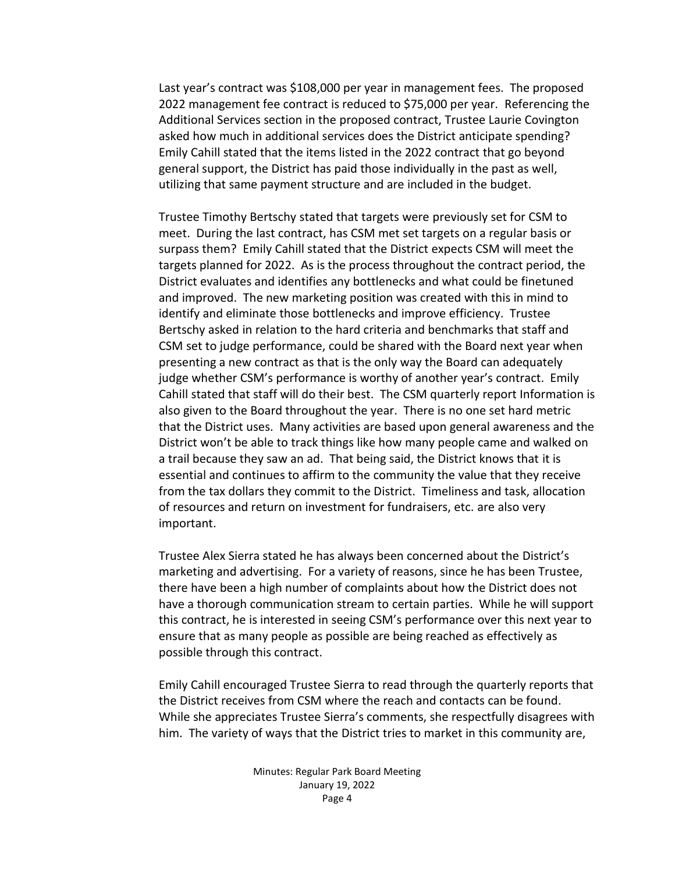Last year's contract was \$108,000 per year in management fees. The proposed 2022 management fee contract is reduced to \$75,000 per year. Referencing the Additional Services section in the proposed contract, Trustee Laurie Covington asked how much in additional services does the District anticipate spending? Emily Cahill stated that the items listed in the 2022 contract that go beyond general support, the District has paid those individually in the past as well, utilizing that same payment structure and are included in the budget.

Trustee Timothy Bertschy stated that targets were previously set for CSM to meet. During the last contract, has CSM met set targets on a regular basis or surpass them? Emily Cahill stated that the District expects CSM will meet the targets planned for 2022. As is the process throughout the contract period, the District evaluates and identifies any bottlenecks and what could be finetuned and improved. The new marketing position was created with this in mind to identify and eliminate those bottlenecks and improve efficiency. Trustee Bertschy asked in relation to the hard criteria and benchmarks that staff and CSM set to judge performance, could be shared with the Board next year when presenting a new contract as that is the only way the Board can adequately judge whether CSM's performance is worthy of another year's contract. Emily Cahill stated that staff will do their best. The CSM quarterly report Information is also given to the Board throughout the year. There is no one set hard metric that the District uses. Many activities are based upon general awareness and the District won't be able to track things like how many people came and walked on a trail because they saw an ad. That being said, the District knows that it is essential and continues to affirm to the community the value that they receive from the tax dollars they commit to the District. Timeliness and task, allocation of resources and return on investment for fundraisers, etc. are also very important.

Trustee Alex Sierra stated he has always been concerned about the District's marketing and advertising. For a variety of reasons, since he has been Trustee, there have been a high number of complaints about how the District does not have a thorough communication stream to certain parties. While he will support this contract, he is interested in seeing CSM's performance over this next year to ensure that as many people as possible are being reached as effectively as possible through this contract.

Emily Cahill encouraged Trustee Sierra to read through the quarterly reports that the District receives from CSM where the reach and contacts can be found. While she appreciates Trustee Sierra's comments, she respectfully disagrees with him. The variety of ways that the District tries to market in this community are,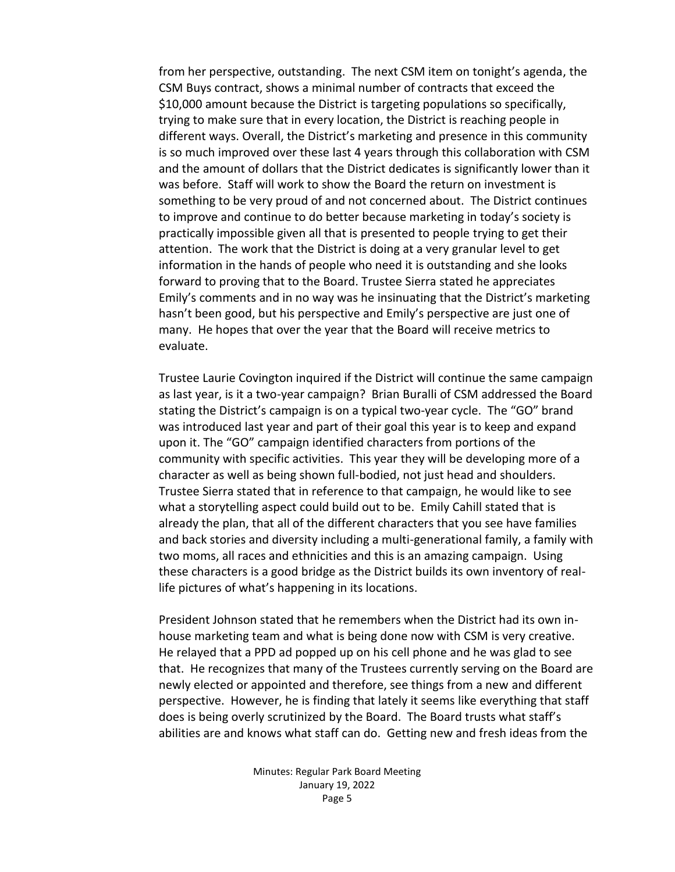from her perspective, outstanding. The next CSM item on tonight's agenda, the CSM Buys contract, shows a minimal number of contracts that exceed the \$10,000 amount because the District is targeting populations so specifically, trying to make sure that in every location, the District is reaching people in different ways. Overall, the District's marketing and presence in this community is so much improved over these last 4 years through this collaboration with CSM and the amount of dollars that the District dedicates is significantly lower than it was before. Staff will work to show the Board the return on investment is something to be very proud of and not concerned about. The District continues to improve and continue to do better because marketing in today's society is practically impossible given all that is presented to people trying to get their attention. The work that the District is doing at a very granular level to get information in the hands of people who need it is outstanding and she looks forward to proving that to the Board. Trustee Sierra stated he appreciates Emily's comments and in no way was he insinuating that the District's marketing hasn't been good, but his perspective and Emily's perspective are just one of many. He hopes that over the year that the Board will receive metrics to evaluate.

Trustee Laurie Covington inquired if the District will continue the same campaign as last year, is it a two-year campaign? Brian Buralli of CSM addressed the Board stating the District's campaign is on a typical two-year cycle. The "GO" brand was introduced last year and part of their goal this year is to keep and expand upon it. The "GO" campaign identified characters from portions of the community with specific activities. This year they will be developing more of a character as well as being shown full-bodied, not just head and shoulders. Trustee Sierra stated that in reference to that campaign, he would like to see what a storytelling aspect could build out to be. Emily Cahill stated that is already the plan, that all of the different characters that you see have families and back stories and diversity including a multi-generational family, a family with two moms, all races and ethnicities and this is an amazing campaign. Using these characters is a good bridge as the District builds its own inventory of reallife pictures of what's happening in its locations.

President Johnson stated that he remembers when the District had its own inhouse marketing team and what is being done now with CSM is very creative. He relayed that a PPD ad popped up on his cell phone and he was glad to see that. He recognizes that many of the Trustees currently serving on the Board are newly elected or appointed and therefore, see things from a new and different perspective. However, he is finding that lately it seems like everything that staff does is being overly scrutinized by the Board. The Board trusts what staff's abilities are and knows what staff can do. Getting new and fresh ideas from the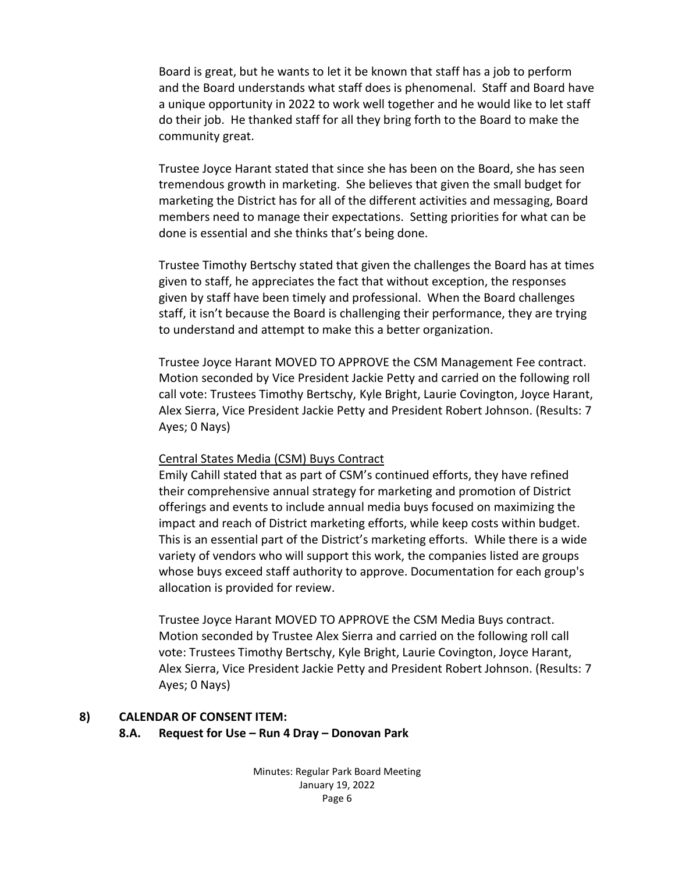Board is great, but he wants to let it be known that staff has a job to perform and the Board understands what staff does is phenomenal. Staff and Board have a unique opportunity in 2022 to work well together and he would like to let staff do their job. He thanked staff for all they bring forth to the Board to make the community great.

Trustee Joyce Harant stated that since she has been on the Board, she has seen tremendous growth in marketing. She believes that given the small budget for marketing the District has for all of the different activities and messaging, Board members need to manage their expectations. Setting priorities for what can be done is essential and she thinks that's being done.

Trustee Timothy Bertschy stated that given the challenges the Board has at times given to staff, he appreciates the fact that without exception, the responses given by staff have been timely and professional. When the Board challenges staff, it isn't because the Board is challenging their performance, they are trying to understand and attempt to make this a better organization.

Trustee Joyce Harant MOVED TO APPROVE the CSM Management Fee contract. Motion seconded by Vice President Jackie Petty and carried on the following roll call vote: Trustees Timothy Bertschy, Kyle Bright, Laurie Covington, Joyce Harant, Alex Sierra, Vice President Jackie Petty and President Robert Johnson. (Results: 7 Ayes; 0 Nays)

#### Central States Media (CSM) Buys Contract

Emily Cahill stated that as part of CSM's continued efforts, they have refined their comprehensive annual strategy for marketing and promotion of District offerings and events to include annual media buys focused on maximizing the impact and reach of District marketing efforts, while keep costs within budget. This is an essential part of the District's marketing efforts. While there is a wide variety of vendors who will support this work, the companies listed are groups whose buys exceed staff authority to approve. Documentation for each group's allocation is provided for review.

Trustee Joyce Harant MOVED TO APPROVE the CSM Media Buys contract. Motion seconded by Trustee Alex Sierra and carried on the following roll call vote: Trustees Timothy Bertschy, Kyle Bright, Laurie Covington, Joyce Harant, Alex Sierra, Vice President Jackie Petty and President Robert Johnson. (Results: 7 Ayes; 0 Nays)

## **8) CALENDAR OF CONSENT ITEM:**

#### **8.A. Request for Use – Run 4 Dray – Donovan Park**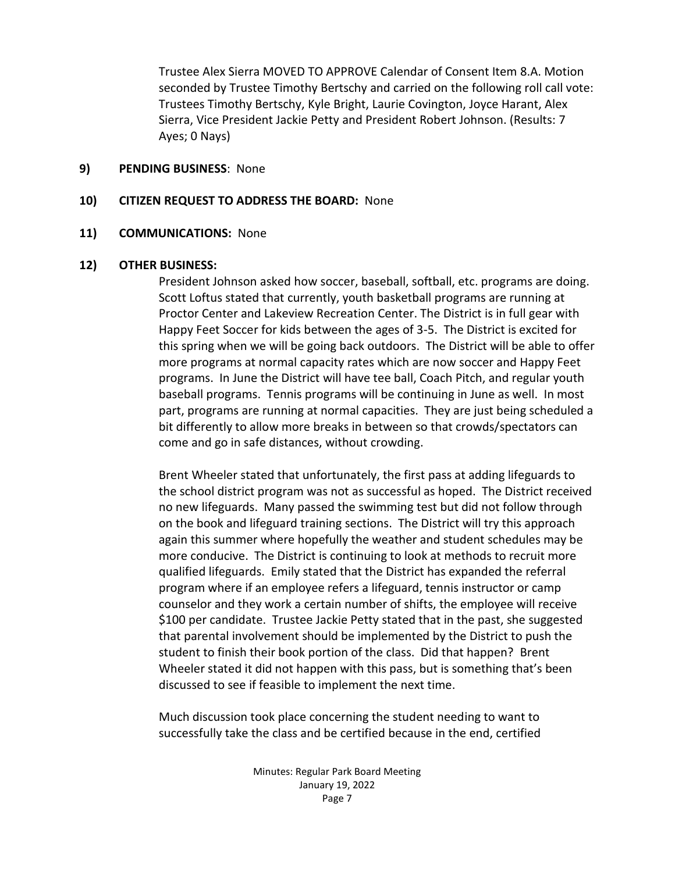Trustee Alex Sierra MOVED TO APPROVE Calendar of Consent Item 8.A. Motion seconded by Trustee Timothy Bertschy and carried on the following roll call vote: Trustees Timothy Bertschy, Kyle Bright, Laurie Covington, Joyce Harant, Alex Sierra, Vice President Jackie Petty and President Robert Johnson. (Results: 7 Ayes; 0 Nays)

#### **9) PENDING BUSINESS**: None

### **10) CITIZEN REQUEST TO ADDRESS THE BOARD:** None

### **11) COMMUNICATIONS:** None

### **12) OTHER BUSINESS:**

President Johnson asked how soccer, baseball, softball, etc. programs are doing. Scott Loftus stated that currently, youth basketball programs are running at Proctor Center and Lakeview Recreation Center. The District is in full gear with Happy Feet Soccer for kids between the ages of 3-5. The District is excited for this spring when we will be going back outdoors. The District will be able to offer more programs at normal capacity rates which are now soccer and Happy Feet programs. In June the District will have tee ball, Coach Pitch, and regular youth baseball programs. Tennis programs will be continuing in June as well. In most part, programs are running at normal capacities. They are just being scheduled a bit differently to allow more breaks in between so that crowds/spectators can come and go in safe distances, without crowding.

Brent Wheeler stated that unfortunately, the first pass at adding lifeguards to the school district program was not as successful as hoped. The District received no new lifeguards. Many passed the swimming test but did not follow through on the book and lifeguard training sections. The District will try this approach again this summer where hopefully the weather and student schedules may be more conducive. The District is continuing to look at methods to recruit more qualified lifeguards. Emily stated that the District has expanded the referral program where if an employee refers a lifeguard, tennis instructor or camp counselor and they work a certain number of shifts, the employee will receive \$100 per candidate. Trustee Jackie Petty stated that in the past, she suggested that parental involvement should be implemented by the District to push the student to finish their book portion of the class. Did that happen? Brent Wheeler stated it did not happen with this pass, but is something that's been discussed to see if feasible to implement the next time.

Much discussion took place concerning the student needing to want to successfully take the class and be certified because in the end, certified